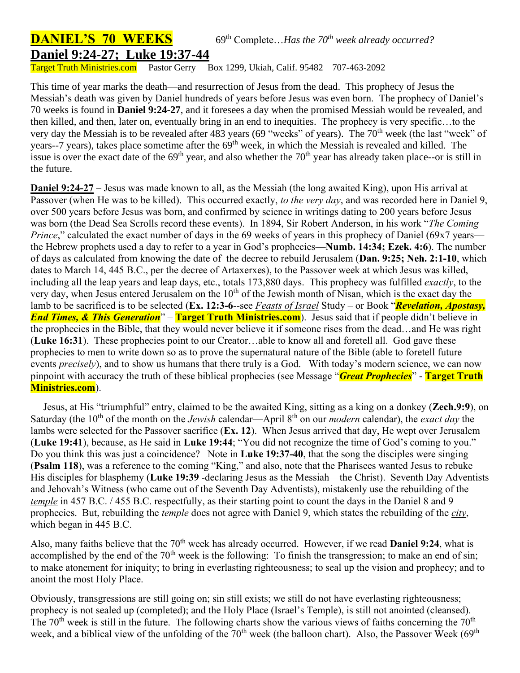## **DANIEL'S 70 WEEKS** 69<sup>th</sup> Complete...Has the 70<sup>th</sup> week already occurred? **Daniel 9:24-27; Luke 19:37-44**

Target Truth Ministries.com Pastor Gerry Box 1299, Ukiah, Calif. 95482 707-463-2092

This time of year marks the death—and resurrection of Jesus from the dead. This prophecy of Jesus the Messiah's death was given by Daniel hundreds of years before Jesus was even born. The prophecy of Daniel's 70 weeks is found in **Daniel 9:24-27**, and it foresees a day when the promised Messiah would be revealed, and then killed, and then, later on, eventually bring in an end to inequities. The prophecy is very specific…to the very day the Messiah is to be revealed after 483 years (69 "weeks" of years). The 70<sup>th</sup> week (the last "week" of years--7 years), takes place sometime after the 69<sup>th</sup> week, in which the Messiah is revealed and killed. The issue is over the exact date of the  $69<sup>th</sup>$  year, and also whether the  $70<sup>th</sup>$  year has already taken place--or is still in the future.

**Daniel 9:24-27** – Jesus was made known to all, as the Messiah (the long awaited King), upon His arrival at Passover (when He was to be killed). This occurred exactly, *to the very day*, and was recorded here in Daniel 9, over 500 years before Jesus was born, and confirmed by science in writings dating to 200 years before Jesus was born (the Dead Sea Scrolls record these events). In 1894, Sir Robert Anderson, in his work "*The Coming Prince*," calculated the exact number of days in the 69 weeks of years in this prophecy of Daniel (69x7 years the Hebrew prophets used a day to refer to a year in God's prophecies—**Numb. 14:34; Ezek. 4:6**). The number of days as calculated from knowing the date of the decree to rebuild Jerusalem (**Dan. 9:25; Neh. 2:1-10**, which dates to March 14, 445 B.C., per the decree of Artaxerxes), to the Passover week at which Jesus was killed, including all the leap years and leap days, etc., totals 173,880 days. This prophecy was fulfilled *exactly*, to the very day, when Jesus entered Jerusalem on the  $10<sup>th</sup>$  of the Jewish month of Nisan, which is the exact day the lamb to be sacrificed is to be selected (**Ex. 12:3-6**--see *Feasts of Israel* Study – or Book "*Revelation, Apostasy, End Times, & This Generation*" – **Target Truth Ministries.com**). Jesus said that if people didn't believe in the prophecies in the Bible, that they would never believe it if someone rises from the dead…and He was right (**Luke 16:31**). These prophecies point to our Creator…able to know all and foretell all. God gave these prophecies to men to write down so as to prove the supernatural nature of the Bible (able to foretell future events *precisely*), and to show us humans that there truly is a God. With today's modern science, we can now pinpoint with accuracy the truth of these biblical prophecies (see Message "*Great Prophecies*" - **Target Truth Ministries.com**).

 Jesus, at His "triumphful" entry, claimed to be the awaited King, sitting as a king on a donkey (**Zech.9:9**), on Saturday (the 10th of the month on the *Jewish* calendar—April 8th on our *modern* calendar), the *exact day* the lambs were selected for the Passover sacrifice (**Ex. 12**). When Jesus arrived that day, He wept over Jerusalem (**Luke 19:41**), because, as He said in **Luke 19:44**; "You did not recognize the time of God's coming to you." Do you think this was just a coincidence? Note in **Luke 19:37-40**, that the song the disciples were singing (**Psalm 118**), was a reference to the coming "King," and also, note that the Pharisees wanted Jesus to rebuke His disciples for blasphemy (**Luke 19:39** -declaring Jesus as the Messiah—the Christ). Seventh Day Adventists and Jehovah's Witness (who came out of the Seventh Day Adventists), mistakenly use the rebuilding of the *temple* in 457 B.C. / 455 B.C. respectfully, as their starting point to count the days in the Daniel 8 and 9 prophecies. But, rebuilding the *temple* does not agree with Daniel 9, which states the rebuilding of the *city*, which began in 445 B.C.

Also, many faiths believe that the 70<sup>th</sup> week has already occurred. However, if we read **Daniel 9:24**, what is accomplished by the end of the  $70<sup>th</sup>$  week is the following: To finish the transgression; to make an end of sin; to make atonement for iniquity; to bring in everlasting righteousness; to seal up the vision and prophecy; and to anoint the most Holy Place.

Obviously, transgressions are still going on; sin still exists; we still do not have everlasting righteousness; prophecy is not sealed up (completed); and the Holy Place (Israel's Temple), is still not anointed (cleansed). The  $70<sup>th</sup>$  week is still in the future. The following charts show the various views of faiths concerning the  $70<sup>th</sup>$ week, and a biblical view of the unfolding of the  $70<sup>th</sup>$  week (the balloon chart). Also, the Passover Week (69<sup>th</sup>)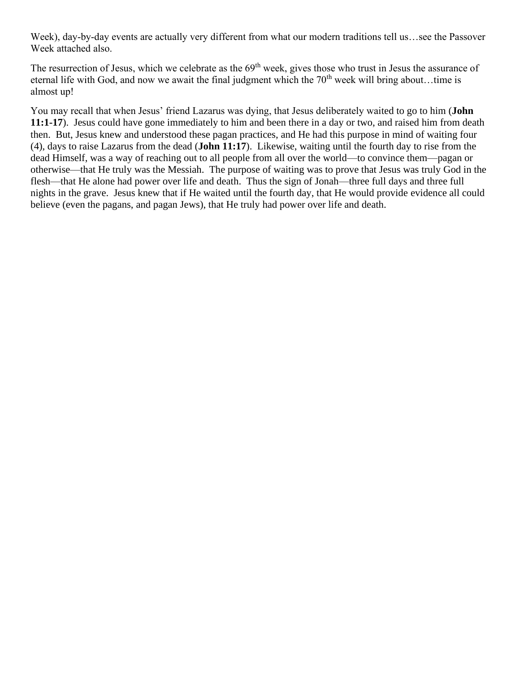Week), day-by-day events are actually very different from what our modern traditions tell us…see the Passover Week attached also.

The resurrection of Jesus, which we celebrate as the 69<sup>th</sup> week, gives those who trust in Jesus the assurance of eternal life with God, and now we await the final judgment which the  $70<sup>th</sup>$  week will bring about...time is almost up!

You may recall that when Jesus' friend Lazarus was dying, that Jesus deliberately waited to go to him (**John 11:1-17**). Jesus could have gone immediately to him and been there in a day or two, and raised him from death then. But, Jesus knew and understood these pagan practices, and He had this purpose in mind of waiting four (4), days to raise Lazarus from the dead (**John 11:17**). Likewise, waiting until the fourth day to rise from the dead Himself, was a way of reaching out to all people from all over the world—to convince them—pagan or otherwise—that He truly was the Messiah. The purpose of waiting was to prove that Jesus was truly God in the flesh—that He alone had power over life and death. Thus the sign of Jonah—three full days and three full nights in the grave. Jesus knew that if He waited until the fourth day, that He would provide evidence all could believe (even the pagans, and pagan Jews), that He truly had power over life and death.